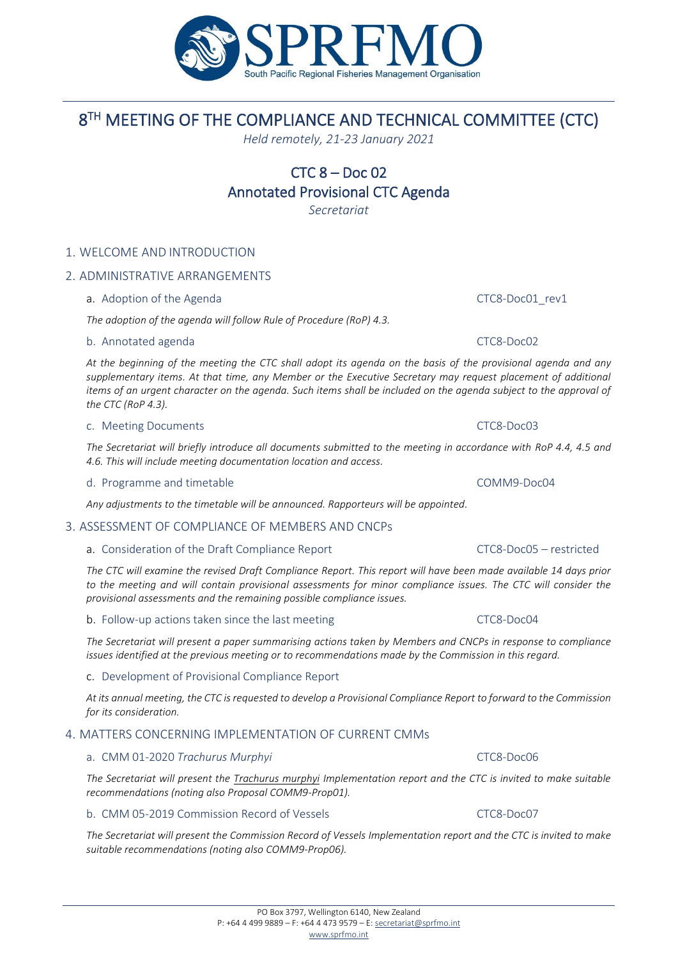# 1. WELCOME AND INTRODUCTION

# 2. ADMINISTRATIVE ARRANGEMENTS

a. Adoption of the Agenda **CTC8-Doc01** rev1

*The adoption of the agenda will follow Rule of Procedure (RoP) 4.3.*

#### b. Annotated agenda CTC8-Doc02

*At the beginning of the meeting the CTC shall adopt its agenda on the basis of the provisional agenda and any supplementary items. At that time, any Member or the Executive Secretary may request placement of additional items of an urgent character on the agenda. Such items shall be included on the agenda subject to the approval of the CTC (RoP 4.3).*

#### c. Meeting Documents **CTC8-Doc03**

*The Secretariat will briefly introduce all documents submitted to the meeting in accordance with RoP 4.4, 4.5 and 4.6. This will include meeting documentation location and access.*

d. Programme and timetable **COMM9-Doc04** 

*Any adjustments to the timetable will be announced. Rapporteurs will be appointed.*

### 3. ASSESSMENT OF COMPLIANCE OF MEMBERS AND CNCPs

#### a. Consideration of the Draft Compliance Report CTC8-Doc05 – restricted

*The CTC will examine the revised Draft Compliance Report. This report will have been made available 14 days prior*  to the meeting and will contain provisional assessments for minor compliance issues. The CTC will consider the *provisional assessments and the remaining possible compliance issues.*

*The Secretariat will present a paper summarising actions taken by Members and CNCPs in response to compliance issues identified at the previous meeting or to recommendations made by the Commission in this regard.*

b. Follow-up actions taken since the last meeting CTC8-Doc04

### c. Development of Provisional Compliance Report

*At its annual meeting, the CTC is requested to develop a Provisional Compliance Report to forward to the Commission for its consideration.*

### 4. MATTERS CONCERNING IMPLEMENTATION OF CURRENT CMMs

#### a. CMM 01-2020 *Trachurus Murphyi* CTC8-Doc06

*The Secretariat will present the Trachurus murphyi Implementation report and the CTC is invited to make suitable recommendations (noting also Proposal COMM9-Prop01).*

#### b. CMM 05-2019 Commission Record of Vessels CTC8-Doc07

*The Secretariat will present the Commission Record of Vessels Implementation report and the CTC is invited to make suitable recommendations (noting also COMM9-Prop06).*

#### PO Box 3797, Wellington 6140, New Zealand P: +64 4 499 9889 – F: +64 4 473 9579 – E[: secretariat@sprfmo.int](mailto:secretariat@sprfmo.int)

[www.sprfmo.int](http://www.sprfmo.int/)





8 TH MEETING OF THE COMPLIANCE AND TECHNICAL COMMITTEE (CTC) *Held remotely, 21-23 January 2021*

> $CTC_8 - Doc_02$ Annotated Provisional CTC Agenda *Secretariat*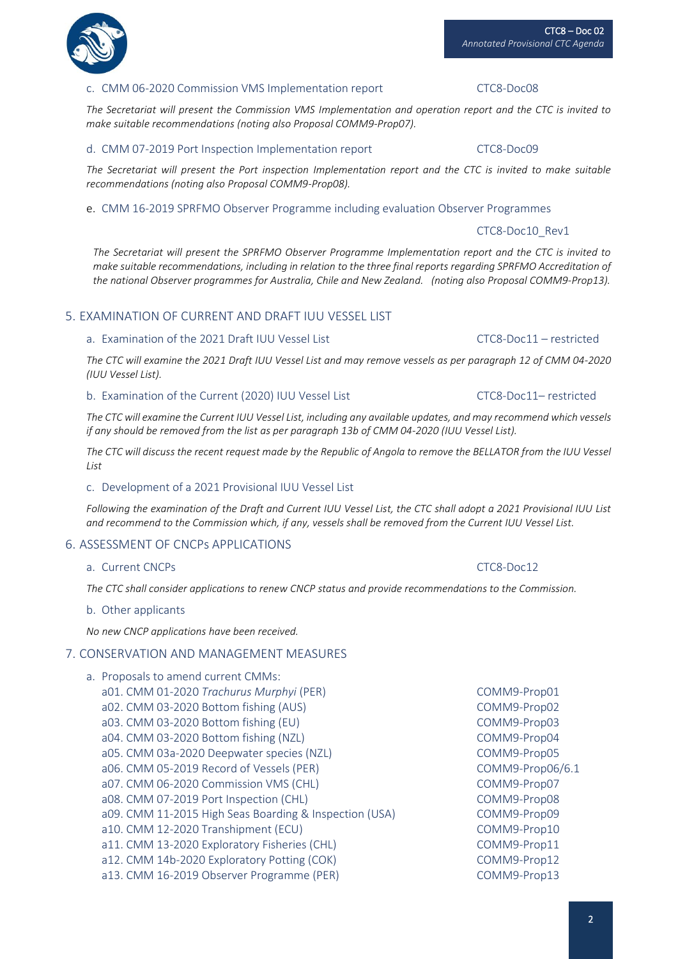#### CTC8 – Doc 02 *Annotated Provisional CTC Agenda*

# c. CMM 06-2020 Commission VMS Implementation report CTC8-Doc08

*The Secretariat will present the Commission VMS Implementation and operation report and the CTC is invited to make suitable recommendations (noting also Proposal COMM9-Prop07).*

# d. CMM 07-2019 Port Inspection Implementation report CTC8-Doc09

*The Secretariat will present the Port inspection Implementation report and the CTC is invited to make suitable recommendations (noting also Proposal COMM9-Prop08).*

#### e. CMM 16-2019 SPRFMO Observer Programme including evaluation Observer Programmes

CTC8-Doc10\_Rev1

*The Secretariat will present the SPRFMO Observer Programme Implementation report and the CTC is invited to make suitable recommendations, including in relation to the three final reports regarding SPRFMO Accreditation of the national Observer programmes for Australia, Chile and New Zealand. (noting also Proposal COMM9-Prop13).*

# 5. EXAMINATION OF CURRENT AND DRAFT IUU VESSEL LIST

### a. Examination of the 2021 Draft IUU Vessel List CTC8-Doc11 – restricted

*The CTC will examine the 2021 Draft IUU Vessel List and may remove vessels as per paragraph 12 of CMM 04-2020 (IUU Vessel List).*

#### b. Examination of the Current (2020) IUU Vessel List CTC8-Doc11– restricted

*The CTC will examine the Current IUU Vessel List, including any available updates, and may recommend which vessels if any should be removed from the list as per paragraph 13b of CMM 04-2020 (IUU Vessel List).*

*The CTC will discuss the recent request made by the Republic of Angola to remove the BELLATOR from the IUU Vessel List*

### c. Development of a 2021 Provisional IUU Vessel List

*Following the examination of the Draft and Current IUU Vessel List, the CTC shall adopt a 2021 Provisional IUU List and recommend to the Commission which, if any, vessels shall be removed from the Current IUU Vessel List.*

### 6. ASSESSMENT OF CNCPs APPLICATIONS

a. Current CNCPs **CTC8-Doc12** 

*The CTC shall consider applications to renew CNCP status and provide recommendations to the Commission.*

b. Other applicants

*No new CNCP applications have been received.*

### 7. CONSERVATION AND MANAGEMENT MEASURES

- a. Proposals to amend current CMMs:
	- a01. CMM 01-2020 Trachurus Murphyi (PER) COMM9-Prop01 a02. CMM 03-2020 Bottom fishing (AUS) COMM9-Prop02 a03. CMM 03-2020 Bottom fishing (EU) COMM9-Prop03 a04. CMM 03-2020 Bottom fishing (NZL) COMM9-Prop04 a05. CMM 03a-2020 Deepwater species (NZL) COMM9-Prop05 a06. CMM 05-2019 Record of Vessels (PER) COMM9-Prop06/6.1 a07. CMM 06-2020 Commission VMS (CHL) COMM9-Prop07 a08. CMM 07-2019 Port Inspection (CHL) COMM9-Prop08 a09. CMM 11-2015 High Seas Boarding & Inspection (USA) COMM9-Prop09 a10. CMM 12-2020 Transhipment (ECU) COMM9-Prop10 a11. CMM 13-2020 Exploratory Fisheries (CHL) COMM9-Prop11 a12. CMM 14b-2020 Exploratory Potting (COK) COMM9-Prop12 a13. CMM 16-2019 Observer Programme (PER) COMM9-Prop13